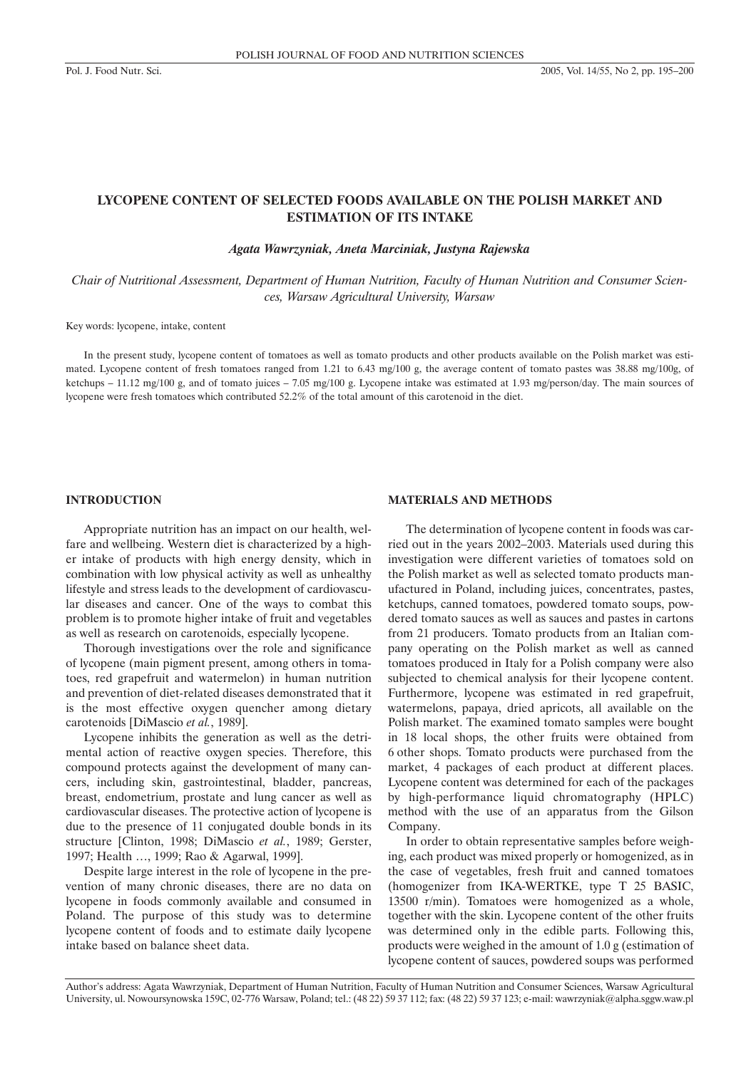# **LYCOPENE CONTENT OF SELECTED FOODS AVAILABLE ON THE POLISH MARKET AND ESTIMATION OF ITS INTAKE**

*Agata Wawrzyniak, Aneta Marciniak, Justyna Rajewska*

*Chair of Nutritional Assessment, Department of Human Nutrition, Faculty of Human Nutrition and Consumer Sciences, Warsaw Agricultural University, Warsaw*

Key words: lycopene, intake, content

In the present study, lycopene content of tomatoes as well as tomato products and other products available on the Polish market was estimated. Lycopene content of fresh tomatoes ranged from 1.21 to 6.43 mg/100 g, the average content of tomato pastes was 38.88 mg/100g, of ketchups – 11.12 mg/100 g, and of tomato juices – 7.05 mg/100 g. Lycopene intake was estimated at 1.93 mg/person/day. The main sources of lycopene were fresh tomatoes which contributed 52.2% of the total amount of this carotenoid in the diet.

### **INTRODUCTION**

Appropriate nutrition has an impact on our health, welfare and wellbeing. Western diet is characterized by a higher intake of products with high energy density, which in combination with low physical activity as well as unhealthy lifestyle and stress leads to the development of cardiovascular diseases and cancer. One of the ways to combat this problem is to promote higher intake of fruit and vegetables as well as research on carotenoids, especially lycopene.

Thorough investigations over the role and significance of lycopene (main pigment present, among others in tomatoes, red grapefruit and watermelon) in human nutrition and prevention of diet-related diseases demonstrated that it is the most effective oxygen quencher among dietary carotenoids [DiMascio *et al.*, 1989].

Lycopene inhibits the generation as well as the detrimental action of reactive oxygen species. Therefore, this compound protects against the development of many cancers, including skin, gastrointestinal, bladder, pancreas, breast, endometrium, prostate and lung cancer as well as cardiovascular diseases. The protective action of lycopene is due to the presence of 11 conjugated double bonds in its structure [Clinton, 1998; DiMascio *et al.*, 1989; Gerster, 1997; Health …, 1999; Rao & Agarwal, 1999].

Despite large interest in the role of lycopene in the prevention of many chronic diseases, there are no data on lycopene in foods commonly available and consumed in Poland. The purpose of this study was to determine lycopene content of foods and to estimate daily lycopene intake based on balance sheet data.

#### **MATERIALS AND METHODS**

The determination of lycopene content in foods was carried out in the years 2002–2003. Materials used during this investigation were different varieties of tomatoes sold on the Polish market as well as selected tomato products manufactured in Poland, including juices, concentrates, pastes, ketchups, canned tomatoes, powdered tomato soups, powdered tomato sauces as well as sauces and pastes in cartons from 21 producers. Tomato products from an Italian company operating on the Polish market as well as canned tomatoes produced in Italy for a Polish company were also subjected to chemical analysis for their lycopene content. Furthermore, lycopene was estimated in red grapefruit, watermelons, papaya, dried apricots, all available on the Polish market. The examined tomato samples were bought in 18 local shops, the other fruits were obtained from 6 other shops. Tomato products were purchased from the market, 4 packages of each product at different places. Lycopene content was determined for each of the packages by high-performance liquid chromatography (HPLC) method with the use of an apparatus from the Gilson Company.

In order to obtain representative samples before weighing, each product was mixed properly or homogenized, as in the case of vegetables, fresh fruit and canned tomatoes (homogenizer from IKA-WERTKE, type T 25 BASIC, 13500 r/min). Tomatoes were homogenized as a whole, together with the skin. Lycopene content of the other fruits was determined only in the edible parts. Following this, products were weighed in the amount of 1.0 g (estimation of lycopene content of sauces, powdered soups was performed

Author's address: Agata Wawrzyniak, Department of Human Nutrition, Faculty of Human Nutrition and Consumer Sciences, Warsaw Agricultural University, ul. Nowoursynowska 159C, 02-776 Warsaw, Poland; tel.: (48 22) 59 37 112; fax: (48 22) 59 37 123; e-mail: wawrzyniak@alpha.sggw.waw.pl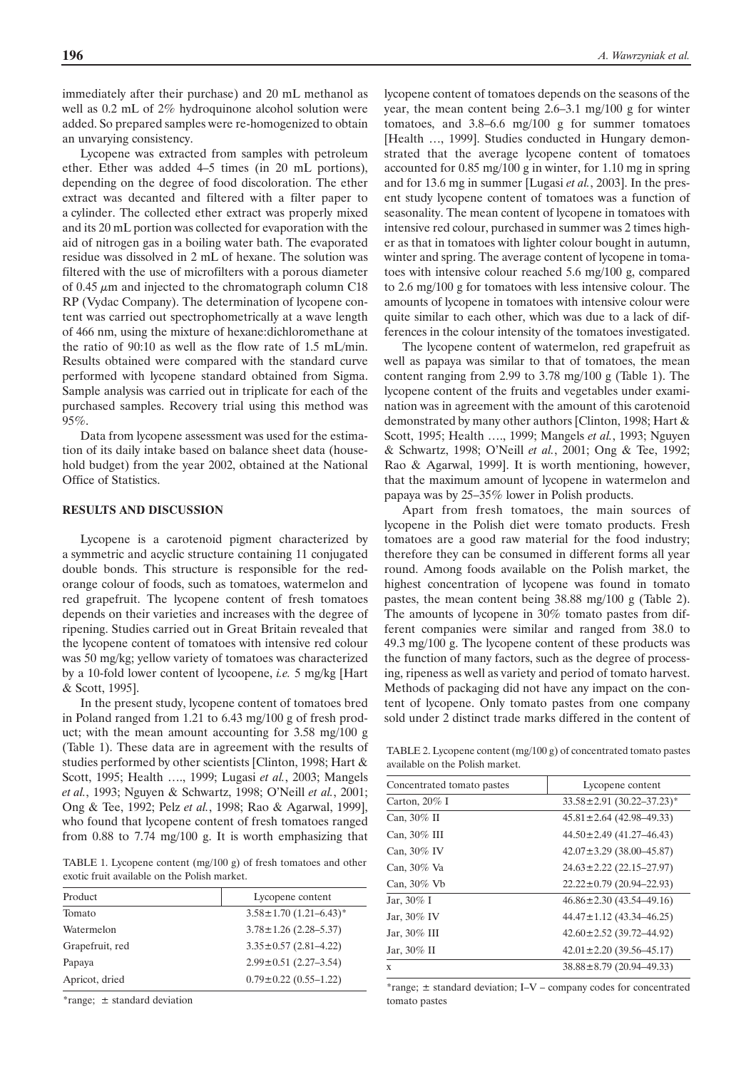immediately after their purchase) and 20 mL methanol as well as 0.2 mL of 2% hydroquinone alcohol solution were added. So prepared samples were re-homogenized to obtain an unvarying consistency.

Lycopene was extracted from samples with petroleum ether. Ether was added 4–5 times (in 20 mL portions), depending on the degree of food discoloration. The ether extract was decanted and filtered with a filter paper to a cylinder. The collected ether extract was properly mixed and its 20 mL portion was collected for evaporation with the aid of nitrogen gas in a boiling water bath. The evaporated residue was dissolved in 2 mL of hexane. The solution was filtered with the use of microfilters with a porous diameter of 0.45  $\mu$ m and injected to the chromatograph column C18 RP (Vydac Company). The determination of lycopene content was carried out spectrophometrically at a wave length of 466 nm, using the mixture of hexane:dichloromethane at the ratio of 90:10 as well as the flow rate of 1.5 mL/min. Results obtained were compared with the standard curve performed with lycopene standard obtained from Sigma. Sample analysis was carried out in triplicate for each of the purchased samples. Recovery trial using this method was 95%.

Data from lycopene assessment was used for the estimation of its daily intake based on balance sheet data (household budget) from the year 2002, obtained at the National Office of Statistics.

#### **RESULTS AND DISCUSSION**

Lycopene is a carotenoid pigment characterized by a symmetric and acyclic structure containing 11 conjugated double bonds. This structure is responsible for the redorange colour of foods, such as tomatoes, watermelon and red grapefruit. The lycopene content of fresh tomatoes depends on their varieties and increases with the degree of ripening. Studies carried out in Great Britain revealed that the lycopene content of tomatoes with intensive red colour was 50 mg/kg; yellow variety of tomatoes was characterized by a 10-fold lower content of lycoopene, *i.e.* 5 mg/kg [Hart & Scott, 1995].

In the present study, lycopene content of tomatoes bred in Poland ranged from 1.21 to 6.43 mg/100 g of fresh product; with the mean amount accounting for 3.58 mg/100 g (Table 1). These data are in agreement with the results of studies performed by other scientists [Clinton, 1998; Hart & Scott, 1995; Health …., 1999; Lugasi *et al.*, 2003; Mangels *et al.*, 1993; Nguyen & Schwartz, 1998; O'Neill *et al.*, 2001; Ong & Tee, 1992; Pelz *et al.*, 1998; Rao & Agarwal, 1999], who found that lycopene content of fresh tomatoes ranged from 0.88 to 7.74 mg/100 g. It is worth emphasizing that

TABLE 1. Lycopene content (mg/100 g) of fresh tomatoes and other exotic fruit available on the Polish market.

| Lycopene content                  |
|-----------------------------------|
| $3.58 \pm 1.70$ $(1.21 - 6.43)^*$ |
| $3.78 \pm 1.26$ (2.28–5.37)       |
| $3.35 \pm 0.57$ (2.81-4.22)       |
| $2.99 \pm 0.51$ (2.27-3.54)       |
| $0.79 \pm 0.22$ (0.55-1.22)       |
|                                   |

\*range; ± standard deviation

lycopene content of tomatoes depends on the seasons of the year, the mean content being 2.6–3.1 mg/100 g for winter tomatoes, and 3.8–6.6 mg/100 g for summer tomatoes [Health ..., 1999]. Studies conducted in Hungary demonstrated that the average lycopene content of tomatoes accounted for 0.85 mg/100 g in winter, for 1.10 mg in spring and for 13.6 mg in summer [Lugasi *et al.*, 2003]. In the present study lycopene content of tomatoes was a function of seasonality. The mean content of lycopene in tomatoes with intensive red colour, purchased in summer was 2 times higher as that in tomatoes with lighter colour bought in autumn, winter and spring. The average content of lycopene in tomatoes with intensive colour reached 5.6 mg/100 g, compared to 2.6 mg/100 g for tomatoes with less intensive colour. The amounts of lycopene in tomatoes with intensive colour were quite similar to each other, which was due to a lack of differences in the colour intensity of the tomatoes investigated.

The lycopene content of watermelon, red grapefruit as well as papaya was similar to that of tomatoes, the mean content ranging from 2.99 to 3.78 mg/100 g (Table 1). The lycopene content of the fruits and vegetables under examination was in agreement with the amount of this carotenoid demonstrated by many other authors [Clinton, 1998; Hart & Scott, 1995; Health …., 1999; Mangels *et al.*, 1993; Nguyen & Schwartz, 1998; O'Neill *et al.*, 2001; Ong & Tee, 1992; Rao & Agarwal, 1999]. It is worth mentioning, however, that the maximum amount of lycopene in watermelon and papaya was by 25–35% lower in Polish products.

Apart from fresh tomatoes, the main sources of lycopene in the Polish diet were tomato products. Fresh tomatoes are a good raw material for the food industry; therefore they can be consumed in different forms all year round. Among foods available on the Polish market, the highest concentration of lycopene was found in tomato pastes, the mean content being 38.88 mg/100 g (Table 2). The amounts of lycopene in 30% tomato pastes from different companies were similar and ranged from 38.0 to 49.3 mg/100 g. The lycopene content of these products was the function of many factors, such as the degree of processing, ripeness as well as variety and period of tomato harvest. Methods of packaging did not have any impact on the content of lycopene. Only tomato pastes from one company sold under 2 distinct trade marks differed in the content of

TABLE 2. Lycopene content (mg/100 g) of concentrated tomato pastes available on the Polish market.

| Concentrated tomato pastes | Lycopene content                            |
|----------------------------|---------------------------------------------|
| Carton, $20\%$ I           | $33.58 \pm 2.91$ (30.22-37.23) <sup>*</sup> |
| Can, 30% II                | $45.81 \pm 2.64$ (42.98–49.33)              |
| Can, $30\%$ III            | $44.50 \pm 2.49$ (41.27-46.43)              |
| Can, 30% IV                | $42.07 \pm 3.29$ (38.00-45.87)              |
| Can, 30% Va                | $24.63 \pm 2.22$ (22.15-27.97)              |
| Can, $30\%$ Vb             | $22.22 \pm 0.79$ (20.94-22.93)              |
| Jar, 30% I                 | $46.86 \pm 2.30$ (43.54-49.16)              |
| Jar, 30% IV                | $44.47 \pm 1.12$ (43.34-46.25)              |
| Jar, 30% III               | $42.60 \pm 2.52$ (39.72-44.92)              |
| Jar, 30% II                | $42.01 \pm 2.20$ (39.56–45.17)              |
| X                          | 38.88±8.79 (20.94-49.33)                    |

\*range; ± standard deviation; I–V – company codes for concentrated tomato pastes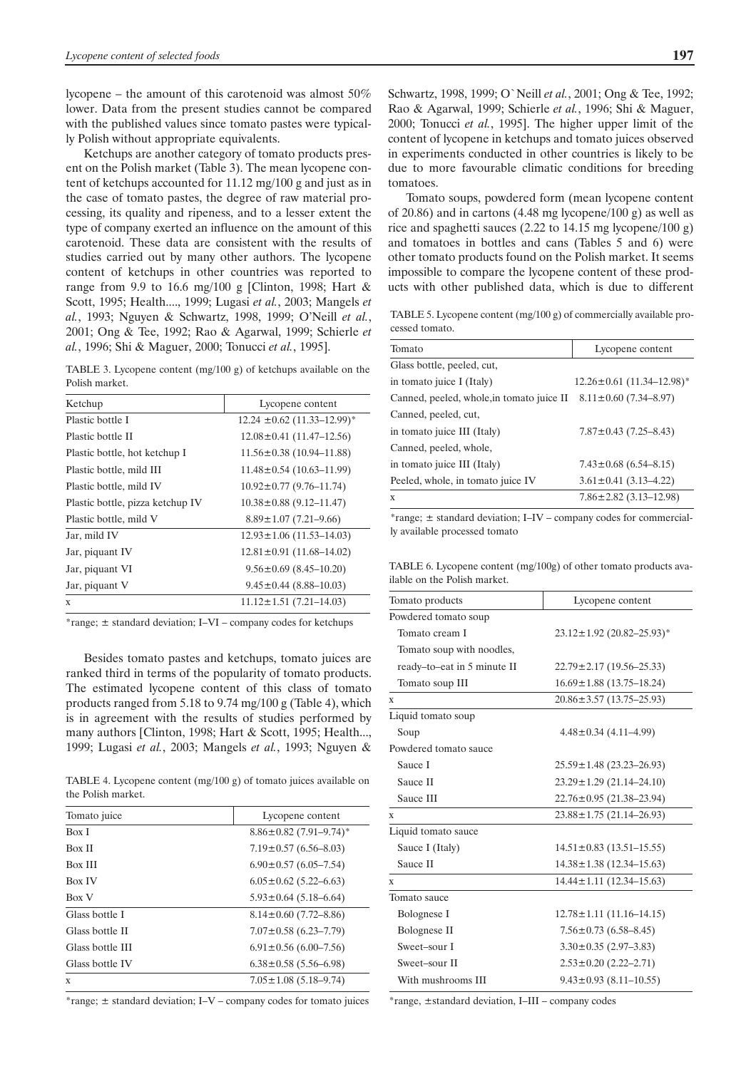lycopene – the amount of this carotenoid was almost 50% lower. Data from the present studies cannot be compared with the published values since tomato pastes were typically Polish without appropriate equivalents.

Ketchups are another category of tomato products present on the Polish market (Table 3). The mean lycopene content of ketchups accounted for 11.12 mg/100 g and just as in the case of tomato pastes, the degree of raw material processing, its quality and ripeness, and to a lesser extent the type of company exerted an influence on the amount of this carotenoid. These data are consistent with the results of studies carried out by many other authors. The lycopene content of ketchups in other countries was reported to range from 9.9 to 16.6 mg/100 g [Clinton, 1998; Hart & Scott, 1995; Health...., 1999; Lugasi *et al.*, 2003; Mangels *et al.*, 1993; Nguyen & Schwartz, 1998, 1999; O'Neill *et al.*, 2001; Ong & Tee, 1992; Rao & Agarwal, 1999; Schierle *et al.*, 1996; Shi & Maguer, 2000; Tonucci *et al.*, 1995].

TABLE 3. Lycopene content (mg/100 g) of ketchups available on the Polish market.

| Ketchup                          | Lycopene content                |
|----------------------------------|---------------------------------|
| Plastic bottle I                 | $12.24 \pm 0.62$ (11.33–12.99)* |
| Plastic bottle II                | $12.08 \pm 0.41$ (11.47-12.56)  |
| Plastic bottle, hot ketchup I    | $11.56 \pm 0.38$ (10.94-11.88)  |
| Plastic bottle, mild III         | $11.48 \pm 0.54$ (10.63-11.99)  |
| Plastic bottle, mild IV          | $10.92 \pm 0.77$ (9.76-11.74)   |
| Plastic bottle, pizza ketchup IV | $10.38 \pm 0.88$ (9.12–11.47)   |
| Plastic bottle, mild V           | $8.89 \pm 1.07$ (7.21–9.66)     |
| Jar, mild IV                     | $12.93 \pm 1.06$ (11.53-14.03)  |
| Jar, piquant IV                  | $12.81 \pm 0.91$ (11.68-14.02)  |
| Jar, piquant VI                  | $9.56 \pm 0.69$ (8.45-10.20)    |
| Jar, piquant V                   | $9.45 \pm 0.44$ (8.88–10.03)    |
| X                                | $11.12 \pm 1.51$ (7.21-14.03)   |

\*range; ± standard deviation; I–VI – company codes for ketchups

Besides tomato pastes and ketchups, tomato juices are ranked third in terms of the popularity of tomato products. The estimated lycopene content of this class of tomato products ranged from 5.18 to 9.74 mg/100 g (Table 4), which is in agreement with the results of studies performed by many authors [Clinton, 1998; Hart & Scott, 1995; Health..., 1999; Lugasi *et al.*, 2003; Mangels *et al.*, 1993; Nguyen &

TABLE 4. Lycopene content (mg/100 g) of tomato juices available on the Polish market.

| Tomato juice     | Lycopene content                |
|------------------|---------------------------------|
| Box I            | $8.86 \pm 0.82$ (7.91-9.74)*    |
| <b>Box II</b>    | $7.19 \pm 0.57$ (6.56–8.03)     |
| <b>Box III</b>   | $6.90 \pm 0.57$ $(6.05 - 7.54)$ |
| <b>Box IV</b>    | $6.05 \pm 0.62$ (5.22–6.63)     |
| Box V            | $5.93 \pm 0.64$ (5.18–6.64)     |
| Glass bottle I   | $8.14 \pm 0.60$ (7.72–8.86)     |
| Glass bottle II  | $7.07 \pm 0.58$ (6.23–7.79)     |
| Glass bottle III | $6.91 \pm 0.56$ (6.00–7.56)     |
| Glass bottle IV  | $6.38 \pm 0.58$ (5.56–6.98)     |
| X                | $7.05 \pm 1.08$ (5.18-9.74)     |

\*range;  $\pm$  standard deviation; I–V – company codes for tomato juices

Schwartz, 1998, 1999; O`Neill *et al.*, 2001; Ong & Tee, 1992; Rao & Agarwal, 1999; Schierle *et al.*, 1996; Shi & Maguer, 2000; Tonucci *et al.*, 1995]. The higher upper limit of the content of lycopene in ketchups and tomato juices observed in experiments conducted in other countries is likely to be due to more favourable climatic conditions for breeding tomatoes.

Tomato soups, powdered form (mean lycopene content of 20.86) and in cartons (4.48 mg lycopene/100 g) as well as rice and spaghetti sauces (2.22 to 14.15 mg lycopene/100 g) and tomatoes in bottles and cans (Tables 5 and 6) were other tomato products found on the Polish market. It seems impossible to compare the lycopene content of these products with other published data, which is due to different

TABLE 5. Lycopene content (mg/100 g) of commercially available processed tomato.

| Tomato                                    | Lycopene content                |
|-------------------------------------------|---------------------------------|
| Glass bottle, peeled, cut,                |                                 |
| in tomato juice I (Italy)                 | $12.26 \pm 0.61$ (11.34-12.98)* |
| Canned, peeled, whole, in tomato juice II | $8.11 \pm 0.60$ (7.34-8.97)     |
| Canned, peeled, cut,                      |                                 |
| in tomato juice III (Italy)               | $7.87 \pm 0.43$ (7.25-8.43)     |
| Canned, peeled, whole,                    |                                 |
| in tomato juice III (Italy)               | $7.43 \pm 0.68$ (6.54–8.15)     |
| Peeled, whole, in tomato juice IV         | $3.61 \pm 0.41$ (3.13-4.22)     |
| X                                         | $7.86 \pm 2.82$ (3.13-12.98)    |

\*range; ± standard deviation; I–IV – company codes for commercially available processed tomato

TABLE 6. Lycopene content (mg/100g) of other tomato products available on the Polish market.

| Lycopene content                            |  |
|---------------------------------------------|--|
|                                             |  |
| $23.12 \pm 1.92$ (20.82-25.93) <sup>*</sup> |  |
|                                             |  |
| $22.79 \pm 2.17$ (19.56–25.33)              |  |
| $16.69 \pm 1.88$ (13.75-18.24)              |  |
| $20.86 \pm 3.57$ (13.75-25.93)              |  |
|                                             |  |
| $4.48 \pm 0.34$ (4.11–4.99)                 |  |
|                                             |  |
| $25.59 \pm 1.48$ (23.23-26.93)              |  |
| $23.29 \pm 1.29$ (21.14-24.10)              |  |
| $22.76 \pm 0.95$ (21.38-23.94)              |  |
| $23.88 \pm 1.75$ (21.14-26.93)              |  |
|                                             |  |
| $14.51 \pm 0.83$ (13.51-15.55)              |  |
| $14.38 \pm 1.38$ (12.34-15.63)              |  |
| $14.44 \pm 1.11$ (12.34-15.63)              |  |
|                                             |  |
| $12.78 \pm 1.11$ (11.16-14.15)              |  |
| $7.56 \pm 0.73$ (6.58–8.45)                 |  |
| $3.30 \pm 0.35$ (2.97-3.83)                 |  |
| $2.53 \pm 0.20$ (2.22-2.71)                 |  |
| $9.43 \pm 0.93$ (8.11-10.55)                |  |
|                                             |  |

\*range, ±standard deviation, I–III – company codes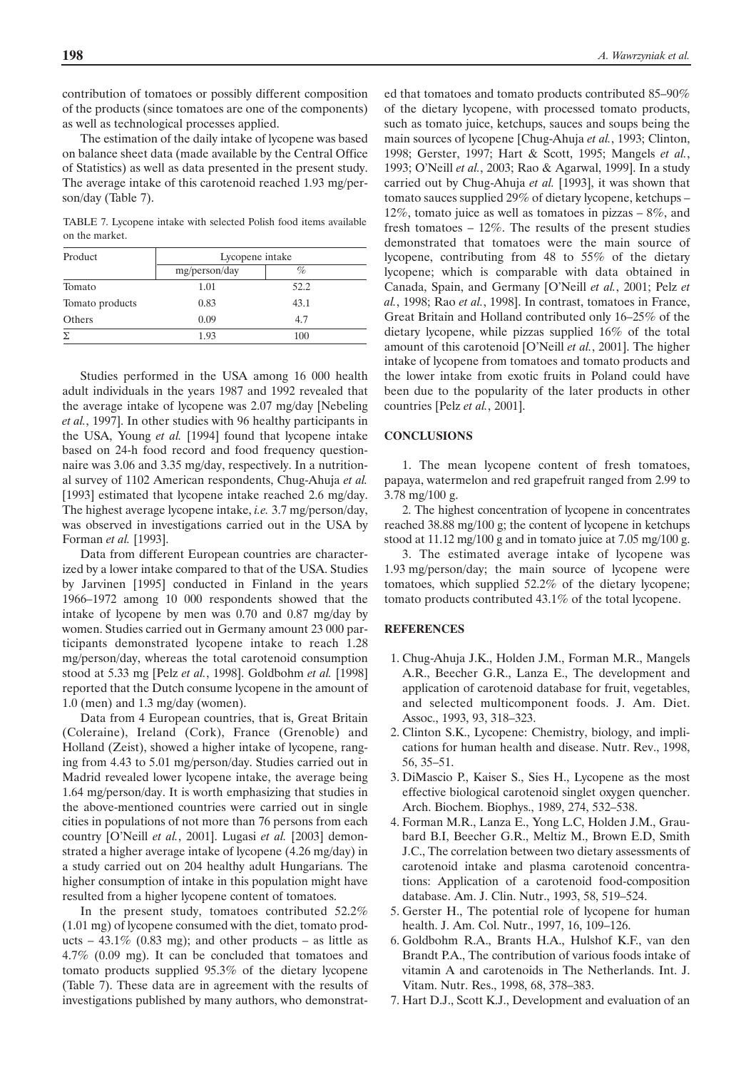contribution of tomatoes or possibly different composition of the products (since tomatoes are one of the components) as well as technological processes applied.

The estimation of the daily intake of lycopene was based on balance sheet data (made available by the Central Office of Statistics) as well as data presented in the present study. The average intake of this carotenoid reached 1.93 mg/person/day (Table 7).

TABLE 7. Lycopene intake with selected Polish food items available on the market.

| Product         | Lycopene intake |      |  |
|-----------------|-----------------|------|--|
|                 | mg/person/day   | %    |  |
| Tomato          | 1.01            | 52.2 |  |
| Tomato products | 0.83            | 43.1 |  |
| Others          | 0.09            | 4.7  |  |
|                 | 1.93            | 100  |  |

Studies performed in the USA among 16 000 health adult individuals in the years 1987 and 1992 revealed that the average intake of lycopene was 2.07 mg/day [Nebeling *et al.*, 1997]. In other studies with 96 healthy participants in the USA, Young *et al.* [1994] found that lycopene intake based on 24-h food record and food frequency questionnaire was 3.06 and 3.35 mg/day, respectively. In a nutritional survey of 1102 American respondents, Chug-Ahuja *et al.* [1993] estimated that lycopene intake reached 2.6 mg/day. The highest average lycopene intake, *i.e.* 3.7 mg/person/day, was observed in investigations carried out in the USA by Forman *et al.* [1993].

Data from different European countries are characterized by a lower intake compared to that of the USA. Studies by Jarvinen [1995] conducted in Finland in the years 1966–1972 among 10 000 respondents showed that the intake of lycopene by men was 0.70 and 0.87 mg/day by women. Studies carried out in Germany amount 23 000 participants demonstrated lycopene intake to reach 1.28 mg/person/day, whereas the total carotenoid consumption stood at 5.33 mg [Pelz *et al.*, 1998]. Goldbohm *et al.* [1998] reported that the Dutch consume lycopene in the amount of 1.0 (men) and 1.3 mg/day (women).

Data from 4 European countries, that is, Great Britain (Coleraine), Ireland (Cork), France (Grenoble) and Holland (Zeist), showed a higher intake of lycopene, ranging from 4.43 to 5.01 mg/person/day. Studies carried out in Madrid revealed lower lycopene intake, the average being 1.64 mg/person/day. It is worth emphasizing that studies in the above-mentioned countries were carried out in single cities in populations of not more than 76 persons from each country [O'Neill *et al.*, 2001]. Lugasi *et al.* [2003] demonstrated a higher average intake of lycopene (4.26 mg/day) in a study carried out on 204 healthy adult Hungarians. The higher consumption of intake in this population might have resulted from a higher lycopene content of tomatoes.

In the present study, tomatoes contributed 52.2% (1.01 mg) of lycopene consumed with the diet, tomato products – 43.1% (0.83 mg); and other products – as little as 4.7% (0.09 mg). It can be concluded that tomatoes and tomato products supplied 95.3% of the dietary lycopene (Table 7). These data are in agreement with the results of investigations published by many authors, who demonstrat-

ed that tomatoes and tomato products contributed 85–90% of the dietary lycopene, with processed tomato products, such as tomato juice, ketchups, sauces and soups being the main sources of lycopene [Chug-Ahuja *et al.*, 1993; Clinton, 1998; Gerster, 1997; Hart & Scott, 1995; Mangels *et al.*, 1993; O'Neill *et al.*, 2003; Rao & Agarwal, 1999]. In a study carried out by Chug-Ahuja *et al.* [1993], it was shown that tomato sauces supplied 29% of dietary lycopene, ketchups – 12%, tomato juice as well as tomatoes in pizzas – 8%, and fresh tomatoes  $-12\%$ . The results of the present studies demonstrated that tomatoes were the main source of lycopene, contributing from 48 to 55% of the dietary lycopene; which is comparable with data obtained in Canada, Spain, and Germany [O'Neill *et al.*, 2001; Pelz *et al.*, 1998; Rao *et al.*, 1998]. In contrast, tomatoes in France, Great Britain and Holland contributed only 16–25% of the dietary lycopene, while pizzas supplied 16% of the total amount of this carotenoid [O'Neill *et al.*, 2001]. The higher intake of lycopene from tomatoes and tomato products and the lower intake from exotic fruits in Poland could have been due to the popularity of the later products in other countries [Pelz *et al.*, 2001].

#### **CONCLUSIONS**

1. The mean lycopene content of fresh tomatoes, papaya, watermelon and red grapefruit ranged from 2.99 to 3.78 mg/100 g.

2. The highest concentration of lycopene in concentrates reached 38.88 mg/100 g; the content of lycopene in ketchups stood at 11.12 mg/100 g and in tomato juice at 7.05 mg/100 g.

3. The estimated average intake of lycopene was 1.93 mg/person/day; the main source of lycopene were tomatoes, which supplied 52.2% of the dietary lycopene; tomato products contributed 43.1% of the total lycopene.

#### **REFERENCES**

- 1. Chug-Ahuja J.K., Holden J.M., Forman M.R., Mangels A.R., Beecher G.R., Lanza E., The development and application of carotenoid database for fruit, vegetables, and selected multicomponent foods. J. Am. Diet. Assoc., 1993, 93, 318–323.
- 2. Clinton S.K., Lycopene: Chemistry, biology, and implications for human health and disease. Nutr. Rev., 1998, 56, 35–51.
- 3. DiMascio P., Kaiser S., Sies H., Lycopene as the most effective biological carotenoid singlet oxygen quencher. Arch. Biochem. Biophys., 1989, 274, 532–538.
- 4. Forman M.R., Lanza E., Yong L.C, Holden J.M., Graubard B.I, Beecher G.R., Meltiz M., Brown E.D, Smith J.C., The correlation between two dietary assessments of carotenoid intake and plasma carotenoid concentrations: Application of a carotenoid food-composition database. Am. J. Clin. Nutr., 1993, 58, 519–524.
- 5. Gerster H., The potential role of lycopene for human health. J. Am. Col. Nutr., 1997, 16, 109–126.
- 6. Goldbohm R.A., Brants H.A., Hulshof K.F., van den Brandt P.A., The contribution of various foods intake of vitamin A and carotenoids in The Netherlands. Int. J. Vitam. Nutr. Res., 1998, 68, 378–383.
- 7. Hart D.J., Scott K.J., Development and evaluation of an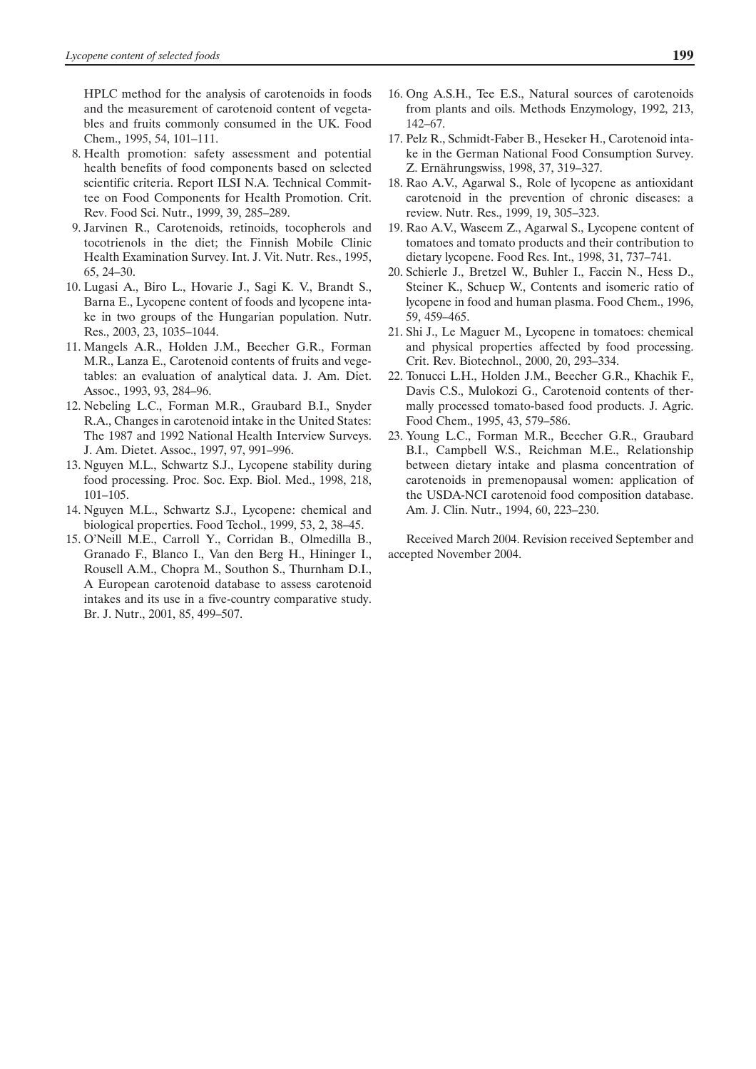HPLC method for the analysis of carotenoids in foods and the measurement of carotenoid content of vegetables and fruits commonly consumed in the UK. Food Chem., 1995, 54, 101–111.

- 8. Health promotion: safety assessment and potential health benefits of food components based on selected scientific criteria. Report ILSI N.A. Technical Committee on Food Components for Health Promotion. Crit. Rev. Food Sci. Nutr., 1999, 39, 285–289.
- 9. Jarvinen R., Carotenoids, retinoids, tocopherols and tocotrienols in the diet; the Finnish Mobile Clinic Health Examination Survey. Int. J. Vit. Nutr. Res., 1995, 65, 24–30.
- 10. Lugasi A., Biro L., Hovarie J., Sagi K. V., Brandt S., Barna E., Lycopene content of foods and lycopene intake in two groups of the Hungarian population. Nutr. Res., 2003, 23, 1035–1044.
- 11. Mangels A.R., Holden J.M., Beecher G.R., Forman M.R., Lanza E., Carotenoid contents of fruits and vegetables: an evaluation of analytical data. J. Am. Diet. Assoc., 1993, 93, 284–96.
- 12. Nebeling L.C., Forman M.R., Graubard B.I., Snyder R.A., Changes in carotenoid intake in the United States: The 1987 and 1992 National Health Interview Surveys. J. Am. Dietet. Assoc., 1997, 97, 991–996.
- 13. Nguyen M.L., Schwartz S.J., Lycopene stability during food processing. Proc. Soc. Exp. Biol. Med., 1998, 218, 101–105.
- 14. Nguyen M.L., Schwartz S.J., Lycopene: chemical and biological properties. Food Techol., 1999, 53, 2, 38–45.
- 15. O'Neill M.E., Carroll Y., Corridan B., Olmedilla B., Granado F., Blanco I., Van den Berg H., Hininger I., Rousell A.M., Chopra M., Southon S., Thurnham D.I., A European carotenoid database to assess carotenoid intakes and its use in a five-country comparative study. Br. J. Nutr., 2001, 85, 499–507.
- 16. Ong A.S.H., Tee E.S., Natural sources of carotenoids from plants and oils. Methods Enzymology, 1992, 213, 142–67.
- 17. Pelz R., Schmidt-Faber B., Heseker H., Carotenoid intake in the German National Food Consumption Survey. Z. Ernährungswiss, 1998, 37, 319–327.
- 18. Rao A.V., Agarwal S., Role of lycopene as antioxidant carotenoid in the prevention of chronic diseases: a review. Nutr. Res., 1999, 19, 305–323.
- 19. Rao A.V., Waseem Z., Agarwal S., Lycopene content of tomatoes and tomato products and their contribution to dietary lycopene. Food Res. Int., 1998, 31, 737–741.
- 20. Schierle J., Bretzel W., Buhler I., Faccin N., Hess D., Steiner K., Schuep W., Contents and isomeric ratio of lycopene in food and human plasma. Food Chem., 1996, 59, 459–465.
- 21. Shi J., Le Maguer M., Lycopene in tomatoes: chemical and physical properties affected by food processing. Crit. Rev. Biotechnol., 2000, 20, 293–334.
- 22. Tonucci L.H., Holden J.M., Beecher G.R., Khachik F., Davis C.S., Mulokozi G., Carotenoid contents of thermally processed tomato-based food products. J. Agric. Food Chem., 1995, 43, 579–586.
- 23. Young L.C., Forman M.R., Beecher G.R., Graubard B.I., Campbell W.S., Reichman M.E., Relationship between dietary intake and plasma concentration of carotenoids in premenopausal women: application of the USDA-NCI carotenoid food composition database. Am. J. Clin. Nutr., 1994, 60, 223–230.

Received March 2004. Revision received September and accepted November 2004.